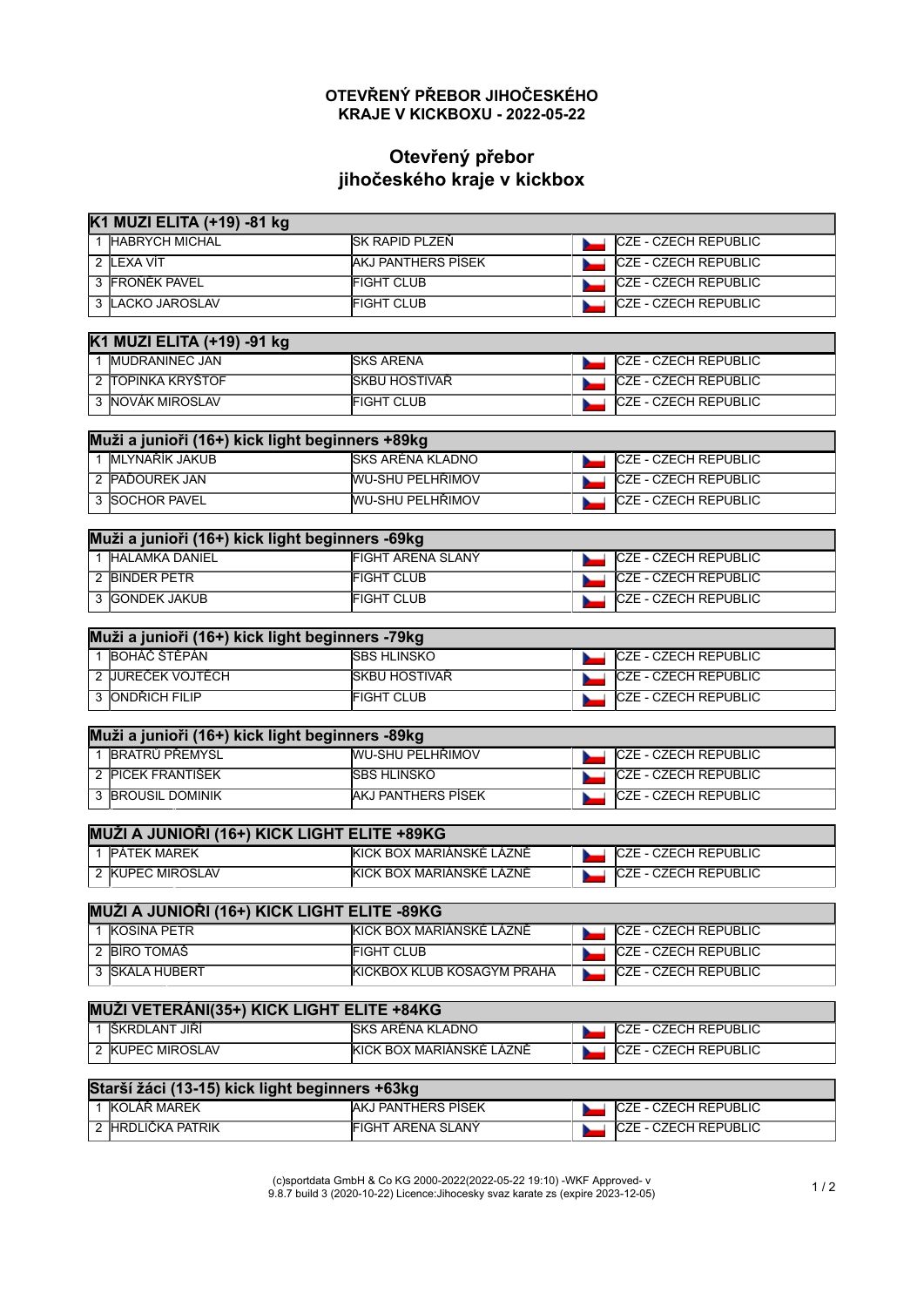## **OTEVŘENÝ PŘEBOR JIHOČESKÉHO KRAJE V KICKBOXU - 2022-05-22**

## **Otevřený přebor jihočeského kraje v kickbox**

| K1 MUZI ELITA (+19) -81 kg                      |                            |                             |  |
|-------------------------------------------------|----------------------------|-----------------------------|--|
| 1 HABRYCH MICHAL                                | SK RAPID PLZEŇ             | <b>CZE - CZECH REPUBLIC</b> |  |
| 2 LEXA VÍT                                      | <b>AKJ PANTHERS PISEK</b>  | CZE - CZECH REPUBLIC        |  |
| 3 FROŇĚK PAVEL                                  | <b>FIGHT CLUB</b>          | CZE - CZECH REPUBLIC        |  |
| 3 LACKO JAROSLAV                                | <b>FIGHT CLUB</b>          | <b>CZE - CZECH REPUBLIC</b> |  |
| K1 MUZI ELITA (+19) -91 kg                      |                            |                             |  |
| 1 MUDRANINEC JAN                                | <b>SKS ARENA</b>           | CZE - CZECH REPUBLIC        |  |
| 2 TOPINKA KRYŠTOF                               | SKBU HOSTIVAŘ              | <b>CZE - CZECH REPUBLIC</b> |  |
| 3 NOVÁK MIROSLAV                                | <b>FIGHT CLUB</b>          | CZE - CZECH REPUBLIC        |  |
| Muži a junioři (16+) kick light beginners +89kg |                            |                             |  |
| 1 MLYNAŘÍK JAKUB                                | <b>SKS ARÉNA KLADNO</b>    | CZE - CZECH REPUBLIC        |  |
| 2 PAĎOUREK JAN                                  | <b>WU-SHU PELHŘIMOV</b>    | CZE - CZECH REPUBLIC        |  |
| 3 SOCHOR PAVEL                                  | WU-SHU PELHŘIMOV           | <b>CZE - CZECH REPUBLIC</b> |  |
| Muži a junioři (16+) kick light beginners -69kg |                            |                             |  |
| 1 HALAMKA DANIEL                                | <b>FIGHT ARENA SLANÝ</b>   | <b>CZE - CZECH REPUBLIC</b> |  |
| 2 BINDER PETR                                   | <b>FIGHT CLUB</b>          | CZE - CZECH REPUBLIC        |  |
| 3 GONDEK JAKUB                                  | <b>FIGHT CLUB</b>          | CZE - CZECH REPUBLIC        |  |
| Muži a junioři (16+) kick light beginners -79kg |                            |                             |  |
| 1 BOHÁČ ŠTĚPÁN                                  | <b>SBS HLINSKO</b>         | CZE - CZECH REPUBLIC        |  |
| 2 JUREČEK VOJTĚCH                               | SKBU HOSTIVAŘ              | CZE - CZECH REPUBLIC        |  |
| 3 ONDŘICH FILIP                                 | <b>FIGHT CLUB</b>          | <b>CZE - CZECH REPUBLIC</b> |  |
| Muži a junioři (16+) kick light beginners -89kg |                            |                             |  |
| 1 BRATRŮ PŘEMYSL                                | WU-SHU PELHŘIMOV           | CZE - CZECH REPUBLIC        |  |
| 2 PICEK FRANTIŠEK                               | <b>SBS HLINSKO</b>         | CZE - CZECH REPUBLIC        |  |
| 3 BROUSIL DOMINIK                               | <b>AKJ PANTHERS PÍSEK</b>  | CZE - CZECH REPUBLIC        |  |
| MUŽI A JUNIOŘI (16+) KICK LIGHT ELITE +89KG     |                            |                             |  |
| 1 PÁTEK MAREK                                   | KICK BOX MARIÁNSKÉ LÁZNĚ   | CZE - CZECH REPUBLIC        |  |
| 2 KUPEC MIROSLAV                                | KICK BOX MARIÁNSKÉ LÁZNĚ   | <b>CZE - CZECH REPUBLIC</b> |  |
| MUŽI A JUNIOŘI (16+) KICK LIGHT ELITE -89KG     |                            |                             |  |
| 1 KOSINA PETR                                   | KICK BOX MARIÁNSKÉ LÁZNĚ   | <b>CZE - CZECH REPUBLIC</b> |  |
| 2 BÍRO TOMÁŠ                                    | <b>FIGHT CLUB</b>          | CZE - CZECH REPUBLIC        |  |
| 3 SKÁLA HUBERT                                  | KICKBOX KLUB KOSAGYM PRAHA | <b>CZE - CZECH REPUBLIC</b> |  |
| MUŽI VETERÁNI(35+) KICK LIGHT ELITE +84KG       |                            |                             |  |
| 1 ŠKRDLANT JIŘÍ                                 | SKS ARÉNA KLADNO           | CZE - CZECH REPUBLIC        |  |
| 2 KUPEC MIROSLAV                                | KICK BOX MARIÁNSKÉ LÁZNĚ   | <b>CZE - CZECH REPUBLIC</b> |  |
| Starší žáci (13-15) kick light beginners +63kg  |                            |                             |  |
| 1 KOLÁŘ MAREK                                   | AKJ PANTHERS PÍSEK         | CZE - CZECH REPUBLIC        |  |
| 2 HRDLIČKA PATRIK                               | FIGHT ARENA SLANÝ          | CZE - CZECH REPUBLIC        |  |

(c)sportdata GmbH & Co KG 2000-2022(2022-05-22 19:10) -WKF Approved- v 9.8.7 build 3 (2020-10-22) Licence:Jihocesky svaz karate zs (expire 2023-12-05) 1 / 2